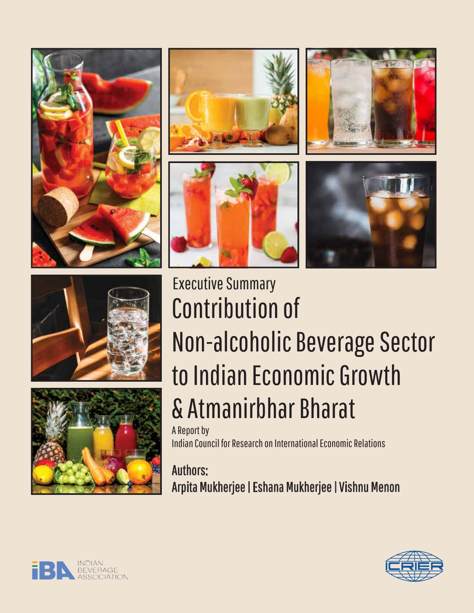













# Contribution of Non-alcoholic Beverage Sector to Indian Economic Growth & Atmanirbhar Bharat A Report by Executive Summary

Indian Council for Research on International Economic Relations

Authors: Arpita Mukherjee | Eshana Mukherjee | Vishnu Menon



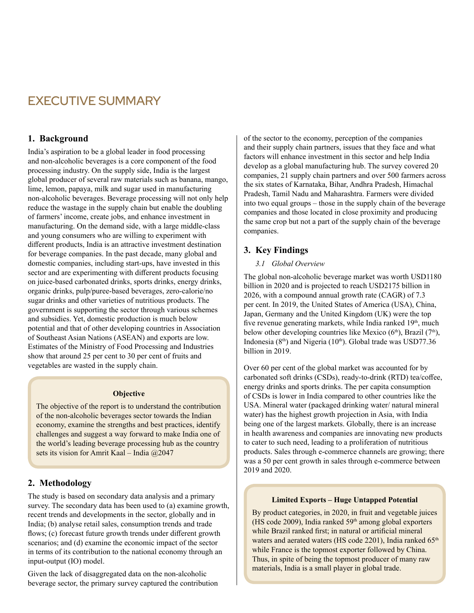# EXECUTIVE SUMMARY

# **1. Background**

India's aspiration to be a global leader in food processing and non-alcoholic beverages is a core component of the food processing industry. On the supply side, India is the largest global producer of several raw materials such as banana, mango, lime, lemon, papaya, milk and sugar used in manufacturing non-alcoholic beverages. Beverage processing will not only help reduce the wastage in the supply chain but enable the doubling of farmers' income, create jobs, and enhance investment in manufacturing. On the demand side, with a large middle-class and young consumers who are willing to experiment with different products, India is an attractive investment destination for beverage companies. In the past decade, many global and domestic companies, including start-ups, have invested in this sector and are experimenting with different products focusing on juice-based carbonated drinks, sports drinks, energy drinks, organic drinks, pulp/puree-based beverages, zero-calorie/no sugar drinks and other varieties of nutritious products. The government is supporting the sector through various schemes and subsidies. Yet, domestic production is much below potential and that of other developing countries in Association of Southeast Asian Nations (ASEAN) and exports are low. Estimates of the Ministry of Food Processing and Industries show that around 25 per cent to 30 per cent of fruits and vegetables are wasted in the supply chain.

#### **Objective**

The objective of the report is to understand the contribution of the non-alcoholic beverages sector towards the Indian economy, examine the strengths and best practices, identify challenges and suggest a way forward to make India one of the world's leading beverage processing hub as the country sets its vision for Amrit Kaal – India @2047

# **2. Methodology**

The study is based on secondary data analysis and a primary survey. The secondary data has been used to (a) examine growth, recent trends and developments in the sector, globally and in India; (b) analyse retail sales, consumption trends and trade flows; (c) forecast future growth trends under different growth scenarios; and (d) examine the economic impact of the sector in terms of its contribution to the national economy through an input-output (IO) model.

Given the lack of disaggregated data on the non-alcoholic beverage sector, the primary survey captured the contribution of the sector to the economy, perception of the companies and their supply chain partners, issues that they face and what factors will enhance investment in this sector and help India develop as a global manufacturing hub. The survey covered 20 companies, 21 supply chain partners and over 500 farmers across the six states of Karnataka, Bihar, Andhra Pradesh, Himachal Pradesh, Tamil Nadu and Maharashtra. Farmers were divided into two equal groups – those in the supply chain of the beverage companies and those located in close proximity and producing the same crop but not a part of the supply chain of the beverage companies.

# **3. Key Findings**

#### *3.1 Global Overview*

The global non-alcoholic beverage market was worth USD1180 billion in 2020 and is projected to reach USD2175 billion in 2026, with a compound annual growth rate (CAGR) of 7.3 per cent. In 2019, the United States of America (USA), China, Japan, Germany and the United Kingdom (UK) were the top five revenue generating markets, while India ranked 19<sup>th</sup>, much below other developing countries like Mexico ( $6<sup>th</sup>$ ), Brazil ( $7<sup>th</sup>$ ), Indonesia ( $8<sup>th</sup>$ ) and Nigeria ( $10<sup>th</sup>$ ). Global trade was USD77.36 billion in 2019.

Over 60 per cent of the global market was accounted for by carbonated soft drinks (CSDs), ready-to-drink (RTD) tea/coffee, energy drinks and sports drinks. The per capita consumption of CSDs is lower in India compared to other countries like the USA. Mineral water (packaged drinking water/ natural mineral water) has the highest growth projection in Asia, with India being one of the largest markets. Globally, there is an increase in health awareness and companies are innovating new products to cater to such need, leading to a proliferation of nutritious products. Sales through e-commerce channels are growing; there was a 50 per cent growth in sales through e-commerce between 2019 and 2020.

#### **Limited Exports – Huge Untapped Potential**

By product categories, in 2020, in fruit and vegetable juices (HS code 2009), India ranked  $59<sup>th</sup>$  among global exporters while Brazil ranked first; in natural or artificial mineral waters and aerated waters (HS code 2201), India ranked 65<sup>th</sup> while France is the topmost exporter followed by China. Thus, in spite of being the topmost producer of many raw materials, India is a small player in global trade.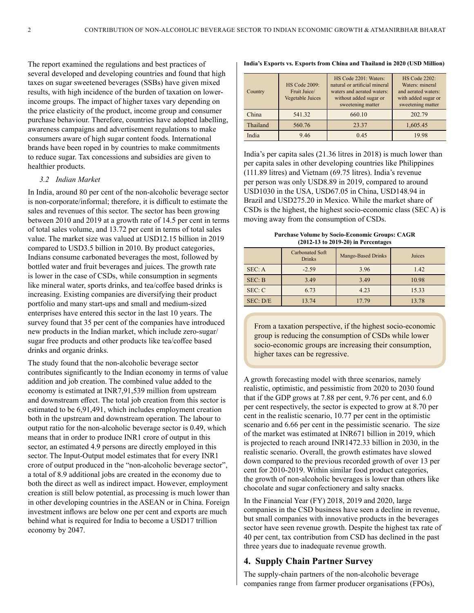The report examined the regulations and best practices of several developed and developing countries and found that high taxes on sugar sweetened beverages (SSBs) have given mixed results, with high incidence of the burden of taxation on lowerincome groups. The impact of higher taxes vary depending on the price elasticity of the product, income group and consumer purchase behaviour. Therefore, countries have adopted labelling, awareness campaigns and advertisement regulations to make consumers aware of high sugar content foods. International brands have been roped in by countries to make commitments to reduce sugar. Tax concessions and subsidies are given to healthier products.

#### *3.2 Indian Market*

In India, around 80 per cent of the non-alcoholic beverage sector is non-corporate/informal; therefore, it is difficult to estimate the sales and revenues of this sector. The sector has been growing between 2010 and 2019 at a growth rate of 14.5 per cent in terms of total sales volume, and 13.72 per cent in terms of total sales value. The market size was valued at USD12.15 billion in 2019 compared to USD3.5 billion in 2010. By product categories, Indians consume carbonated beverages the most, followed by bottled water and fruit beverages and juices. The growth rate is lower in the case of CSDs, while consumption in segments like mineral water, sports drinks, and tea/coffee based drinks is increasing. Existing companies are diversifying their product portfolio and many start-ups and small and medium-sized enterprises have entered this sector in the last 10 years. The survey found that 35 per cent of the companies have introduced new products in the Indian market, which include zero-sugar/ sugar free products and other products like tea/coffee based drinks and organic drinks.

The study found that the non-alcoholic beverage sector contributes significantly to the Indian economy in terms of value addition and job creation. The combined value added to the economy is estimated at INR7,91,539 million from upstream and downstream effect. The total job creation from this sector is estimated to be 6,91,491, which includes employment creation both in the upstream and downstream operation. The labour to output ratio for the non-alcoholic beverage sector is 0.49, which means that in order to produce INR1 crore of output in this sector, an estimated 4.9 persons are directly employed in this sector. The Input-Output model estimates that for every INR1 crore of output produced in the "non-alcoholic beverage sector", a total of 8.9 additional jobs are created in the economy due to both the direct as well as indirect impact. However, employment creation is still below potential, as processing is much lower than in other developing countries in the ASEAN or in China. Foreign investment inflows are below one per cent and exports are much behind what is required for India to become a USD17 trillion economy by 2047.

| Country  | <b>HS Code 2009:</b><br>Fruit Juice/<br>Vegetable Juices | HS Code 2201: Waters:<br>natural or artificial mineral<br>waters and aerated waters:<br>without added sugar or<br>sweetening matter | <b>HS Code 2202:</b><br>Waters: mineral<br>and aerated waters:<br>with added sugar or<br>sweetening matter |
|----------|----------------------------------------------------------|-------------------------------------------------------------------------------------------------------------------------------------|------------------------------------------------------------------------------------------------------------|
| China    | 541.32                                                   | 660.10                                                                                                                              | 202.79                                                                                                     |
| Thailand | 560.76                                                   | 23.37                                                                                                                               | 1,605.45                                                                                                   |
| India    | 9.46                                                     | 0.45                                                                                                                                | 19.98                                                                                                      |

**India's Exports vs. Exports from China and Thailand in 2020 (USD Million)** 

India's per capita sales (21.36 litres in 2018) is much lower than per capita sales in other developing countries like Philippines (111.89 litres) and Vietnam (69.75 litres). India's revenue per person was only USD8.89 in 2019, compared to around USD1030 in the USA, USD67.05 in China, USD148.94 in Brazil and USD275.20 in Mexico. While the market share of CSDs is the highest, the highest socio-economic class (SEC A) is moving away from the consumption of CSDs.

**Purchase Volume by Socio-Economic Groups: CAGR (2012-13 to 2019-20) in Percentages**

|          | <b>Carbonated Soft</b><br><b>Drinks</b> | Mango-Based Drinks | Juices |
|----------|-----------------------------------------|--------------------|--------|
| SEC: A   | $-2.59$                                 | 3.96               | 1.42   |
| SEC: B   | 3.49                                    | 3.49               | 10.98  |
| SEC: C   | 6.73                                    | 4.23               | 15.33  |
| SEC: D/E | 13.74                                   | 17.79              | 13.78  |

From a taxation perspective, if the highest socio-economic group is reducing the consumption of CSDs while lower socio-economic groups are increasing their consumption, higher taxes can be regressive.

A growth forecasting model with three scenarios, namely realistic, optimistic, and pessimistic from 2020 to 2030 found that if the GDP grows at 7.88 per cent, 9.76 per cent, and 6.0 per cent respectively, the sector is expected to grow at 8.70 per cent in the realistic scenario, 10.77 per cent in the optimistic scenario and 6.66 per cent in the pessimistic scenario. The size of the market was estimated at INR671 billion in 2019, which is projected to reach around INR1472.33 billion in 2030, in the realistic scenario. Overall, the growth estimates have slowed down compared to the previous recorded growth of over 13 per cent for 2010-2019. Within similar food product categories, the growth of non-alcoholic beverages is lower than others like chocolate and sugar confectionery and salty snacks.

In the Financial Year (FY) 2018, 2019 and 2020, large companies in the CSD business have seen a decline in revenue, but small companies with innovative products in the beverages sector have seen revenue growth. Despite the highest tax rate of 40 per cent, tax contribution from CSD has declined in the past three years due to inadequate revenue growth.

# **4. Supply Chain Partner Survey**

The supply-chain partners of the non-alcoholic beverage companies range from farmer producer organisations (FPOs),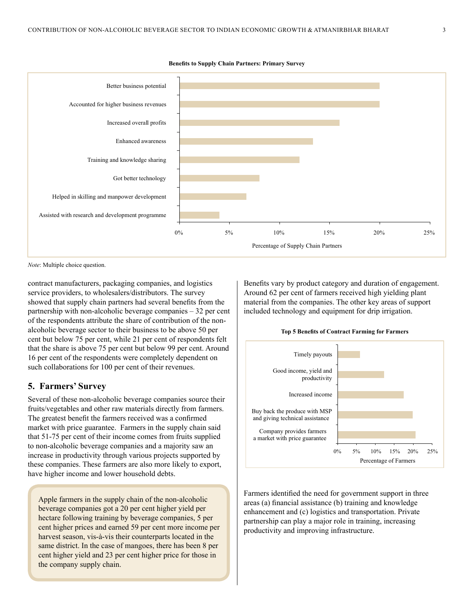

```
Benefits to Supply Chain Partners: Primary Survey
```
*Note*: Multiple choice question.

contract manufacturers, packaging companies, and logistics service providers, to wholesalers/distributors. The survey showed that supply chain partners had several benefits from the partnership with non-alcoholic beverage companies – 32 per cent of the respondents attribute the share of contribution of the nonalcoholic beverage sector to their business to be above 50 per cent but below 75 per cent, while 21 per cent of respondents felt that the share is above 75 per cent but below 99 per cent. Around 16 per cent of the respondents were completely dependent on such collaborations for 100 per cent of their revenues.

#### **5. Farmers' Survey**

Several of these non-alcoholic beverage companies source their fruits/vegetables and other raw materials directly from farmers. The greatest benefit the farmers received was a confirmed market with price guarantee. Farmers in the supply chain said that 51-75 per cent of their income comes from fruits supplied to non-alcoholic beverage companies and a majority saw an increase in productivity through various projects supported by these companies. These farmers are also more likely to export, have higher income and lower household debts.

Apple farmers in the supply chain of the non-alcoholic beverage companies got a 20 per cent higher yield per hectare following training by beverage companies, 5 per cent higher prices and earned 59 per cent more income per harvest season, vis-à-vis their counterparts located in the same district. In the case of mangoes, there has been 8 per cent higher yield and 23 per cent higher price for those in the company supply chain.

Benefits vary by product category and duration of engagement. Around 62 per cent of farmers received high yielding plant material from the companies. The other key areas of support included technology and equipment for drip irrigation.





Farmers identified the need for government support in three areas (a) financial assistance (b) training and knowledge enhancement and (c) logistics and transportation. Private partnership can play a major role in training, increasing productivity and improving infrastructure.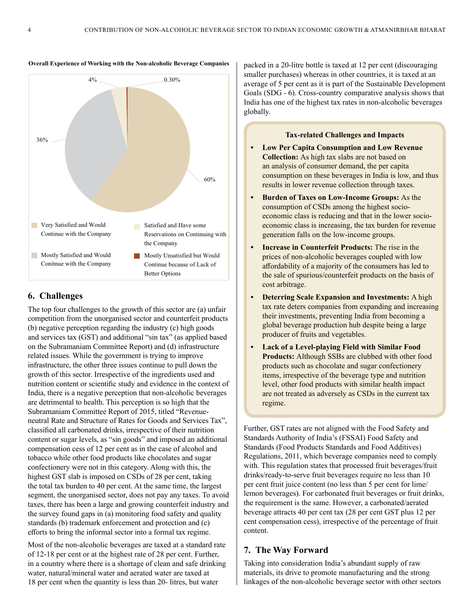

#### **Overall Experience of Working with the Non-alcoholic Beverage Companies**

### **6. Challenges**

The top four challenges to the growth of this sector are (a) unfair competition from the unorganised sector and counterfeit products (b) negative perception regarding the industry (c) high goods and services tax (GST) and additional "sin tax" (as applied based on the Subramaniam Committee Report) and (d) infrastructure related issues. While the government is trying to improve infrastructure, the other three issues continue to pull down the growth of this sector. Irrespective of the ingredients used and nutrition content or scientific study and evidence in the context of India, there is a negative perception that non-alcoholic beverages are detrimental to health. This perception is so high that the Subramaniam Committee Report of 2015, titled "Revenueneutral Rate and Structure of Rates for Goods and Services Tax", classified all carbonated drinks, irrespective of their nutrition content or sugar levels, as "sin goods" and imposed an additional compensation cess of 12 per cent as in the case of alcohol and tobacco while other food products like chocolates and sugar confectionery were not in this category. Along with this, the highest GST slab is imposed on CSDs of 28 per cent, taking the total tax burden to 40 per cent. At the same time, the largest segment, the unorganised sector, does not pay any taxes. To avoid taxes, there has been a large and growing counterfeit industry and the survey found gaps in (a) monitoring food safety and quality standards (b) trademark enforcement and protection and (c) efforts to bring the informal sector into a formal tax regime.

Most of the non-alcoholic beverages are taxed at a standard rate of 12-18 per cent or at the highest rate of 28 per cent. Further, in a country where there is a shortage of clean and safe drinking water, natural/mineral water and aerated water are taxed at 18 per cent when the quantity is less than 20- litres, but water

packed in a 20-litre bottle is taxed at 12 per cent (discouraging smaller purchases) whereas in other countries, it is taxed at an average of 5 per cent as it is part of the Sustainable Development Goals (SDG - 6). Cross-country comparative analysis shows that India has one of the highest tax rates in non-alcoholic beverages globally.

#### **Tax-related Challenges and Impacts**

- **• Low Per Capita Consumption and Low Revenue Collection:** As high tax slabs are not based on an analysis of consumer demand, the per capita consumption on these beverages in India is low, and thus results in lower revenue collection through taxes.
- **• Burden of Taxes on Low-Income Groups:** As the consumption of CSDs among the highest socioeconomic class is reducing and that in the lower socioeconomic class is increasing, the tax burden for revenue generation falls on the low-income groups.
- **• Increase in Counterfeit Products:** The rise in the prices of non-alcoholic beverages coupled with low affordability of a majority of the consumers has led to the sale of spurious/counterfeit products on the basis of cost arbitrage.
- **• Deterring Scale Expansion and Investments:** A high tax rate deters companies from expanding and increasing their investments, preventing India from becoming a global beverage production hub despite being a large producer of fruits and vegetables.
- **• Lack of a Level-playing Field with Similar Food Products:** Although SSBs are clubbed with other food products such as chocolate and sugar confectionery items, irrespective of the beverage type and nutrition level, other food products with similar health impact are not treated as adversely as CSDs in the current tax regime.

Further, GST rates are not aligned with the Food Safety and Standards Authority of India's (FSSAI) Food Safety and Standards (Food Products Standards and Food Additives) Regulations, 2011, which beverage companies need to comply with. This regulation states that processed fruit beverages/fruit drinks/ready-to-serve fruit beverages require no less than 10 per cent fruit juice content (no less than 5 per cent for lime/ lemon beverages). For carbonated fruit beverages or fruit drinks, the requirement is the same. However, a carbonated/aerated beverage attracts 40 per cent tax (28 per cent GST plus 12 per cent compensation cess), irrespective of the percentage of fruit content.

#### **7. The Way Forward**

Taking into consideration India's abundant supply of raw materials, its drive to promote manufacturing and the strong linkages of the non-alcoholic beverage sector with other sectors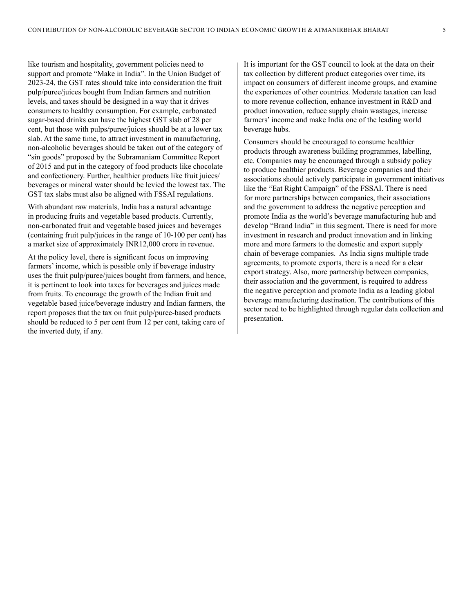like tourism and hospitality, government policies need to support and promote "Make in India". In the Union Budget of 2023-24, the GST rates should take into consideration the fruit pulp/puree/juices bought from Indian farmers and nutrition levels, and taxes should be designed in a way that it drives consumers to healthy consumption. For example, carbonated sugar-based drinks can have the highest GST slab of 28 per cent, but those with pulps/puree/juices should be at a lower tax slab. At the same time, to attract investment in manufacturing, non-alcoholic beverages should be taken out of the category of "sin goods" proposed by the Subramaniam Committee Report of 2015 and put in the category of food products like chocolate and confectionery. Further, healthier products like fruit juices/ beverages or mineral water should be levied the lowest tax. The GST tax slabs must also be aligned with FSSAI regulations.

With abundant raw materials, India has a natural advantage in producing fruits and vegetable based products. Currently, non-carbonated fruit and vegetable based juices and beverages (containing fruit pulp/juices in the range of 10-100 per cent) has a market size of approximately INR12,000 crore in revenue.

At the policy level, there is significant focus on improving farmers' income, which is possible only if beverage industry uses the fruit pulp/puree/juices bought from farmers, and hence, it is pertinent to look into taxes for beverages and juices made from fruits. To encourage the growth of the Indian fruit and vegetable based juice/beverage industry and Indian farmers, the report proposes that the tax on fruit pulp/puree-based products should be reduced to 5 per cent from 12 per cent, taking care of the inverted duty, if any.

It is important for the GST council to look at the data on their tax collection by different product categories over time, its impact on consumers of different income groups, and examine the experiences of other countries. Moderate taxation can lead to more revenue collection, enhance investment in R&D and product innovation, reduce supply chain wastages, increase farmers' income and make India one of the leading world beverage hubs.

Consumers should be encouraged to consume healthier products through awareness building programmes, labelling, etc. Companies may be encouraged through a subsidy policy to produce healthier products. Beverage companies and their associations should actively participate in government initiatives like the "Eat Right Campaign" of the FSSAI. There is need for more partnerships between companies, their associations and the government to address the negative perception and promote India as the world's beverage manufacturing hub and develop "Brand India" in this segment. There is need for more investment in research and product innovation and in linking more and more farmers to the domestic and export supply chain of beverage companies. As India signs multiple trade agreements, to promote exports, there is a need for a clear export strategy. Also, more partnership between companies, their association and the government, is required to address the negative perception and promote India as a leading global beverage manufacturing destination. The contributions of this sector need to be highlighted through regular data collection and presentation.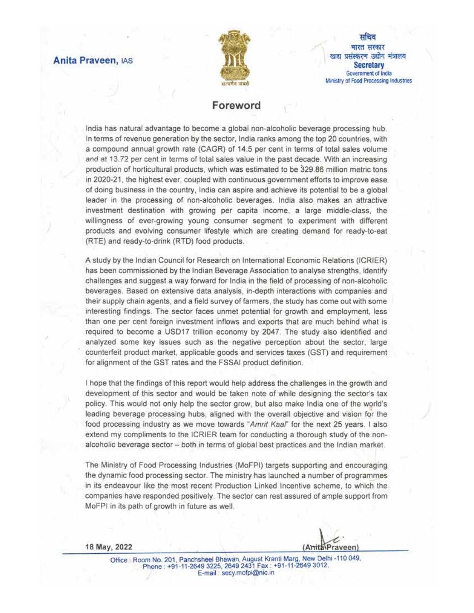## **Anita Praveen, IAS**



सचिव भारत सरकार खाद्य प्रसंस्करण उद्योग मंत्रालय **Secretary** Government of India Ministry of Food Processing Industries

# Foreword

India has natural advantage to become a global non-alcoholic beverage processing hub. In terms of revenue generation by the sector, India ranks among the top 20 countries, with a compound annual growth rate (CAGR) of 14.5 per cent in terms of total sales volume and at 13.72 per cent in terms of total sales value in the past decade. With an increasing production of horticultural products, which was estimated to be 329.86 million metric tons in 2020-21, the highest ever, coupled with continuous government efforts to improve ease of doing business in the country, India can aspire and achieve its potential to be a global leader in the processing of non-alcoholic beverages. India also makes an attractive investment destination with growing per capita income, a large middle-class, the willingness of ever-growing young consumer segment to experiment with different products and evolving consumer lifestyle which are creating demand for ready-to-eat (RTE) and ready-to-drink (RTD) food products.

A study by the Indian Council for Research on International Economic Relations (ICRIER) has been commissioned by the Indian Beverage Association to analyse strengths, identify challenges and suggest a way forward for India in the field of processing of non-alcoholic beverages. Based on extensive data analysis, in-depth interactions with companies and their supply chain agents, and a field survey of farmers, the study has come out with some interesting findings. The sector faces unmet potential for growth and employment, less than one per cent foreign investment inflows and exports that are much behind what is required to become a USD17 trillion economy by 2047. The study also identified and analyzed some key issues such as the negative perception about the sector, large counterfeit product market, applicable goods and services taxes (GST) and requirement for alignment of the GST rates and the FSSAI product definition.

I hope that the findings of this report would help address the challenges in the growth and development of this sector and would be taken note of while designing the sector's tax policy. This would not only help the sector grow, but also make India one of the world's leading beverage processing hubs, aligned with the overall objective and vision for the food processing industry as we move towards "Amrit Kaal" for the next 25 years. I also extend my compliments to the ICRIER team for conducting a thorough study of the nonalcoholic beverage sector - both in terms of global best practices and the Indian market.

The Ministry of Food Processing Industries (MoFPI) targets supporting and encouraging the dynamic food processing sector. The ministry has launched a number of programmes in its endeavour like the most recent Production Linked Incentive scheme, to which the companies have responded positively. The sector can rest assured of ample support from MoFPI in its path of growth in future as well.

18 May, 2022

(AmitalPraveen)

Office : Room No. 201, Panchsheel Bhawan, August Kranti Marg, New Delhi -110 049, Phone: +91-11-2649 3225, 2649 2431 Fax: +91-11-2649 3012, E-mail: secy.mofpi@nic.in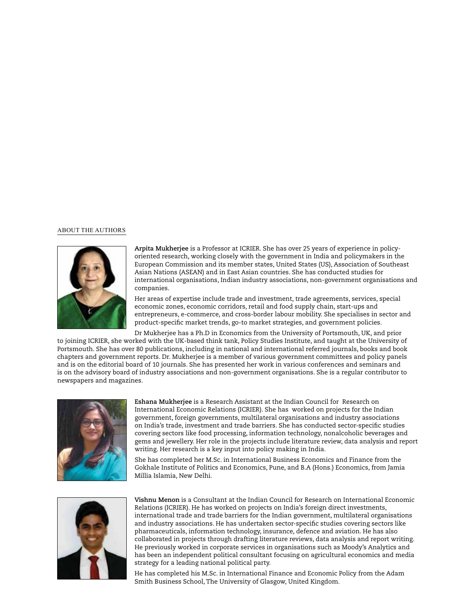#### ABOUT THE AUTHORS



**Arpita Mukherjee** is a Professor at ICRIER. She has over 25 years of experience in policyoriented research, working closely with the government in India and policymakers in the European Commission and its member states, United States (US), Association of Southeast Asian Nations (ASEAN) and in East Asian countries. She has conducted studies for international organisations, Indian industry associations, non-government organisations and companies.

Her areas of expertise include trade and investment, trade agreements, services, special economic zones, economic corridors, retail and food supply chain, start-ups and entrepreneurs, e-commerce, and cross-border labour mobility. She specialises in sector and product-specific market trends, go-to market strategies, and government policies.

Dr Mukherjee has a Ph.D in Economics from the University of Portsmouth, UK, and prior to joining ICRIER, she worked with the UK-based think tank, Policy Studies Institute, and taught at the University of Portsmouth. She has over 80 publications, including in national and international referred journals, books and book chapters and government reports. Dr. Mukherjee is a member of various government committees and policy panels and is on the editorial board of 10 journals. She has presented her work in various conferences and seminars and is on the advisory board of industry associations and non-government organisations. She is a regular contributor to newspapers and magazines.



**Eshana Mukherjee** is a Research Assistant at the Indian Council for Research on International Economic Relations (ICRIER). She has worked on projects for the Indian government, foreign governments, multilateral organisations and industry associations on India's trade, investment and trade barriers. She has conducted sector-specific studies covering sectors like food processing, information technology, nonalcoholic beverages and gems and jewellery. Her role in the projects include literature review, data analysis and report writing. Her research is a key input into policy making in India.

She has completed her M.Sc. in International Business Economics and Finance from the Gokhale Institute of Politics and Economics, Pune, and B.A (Hons.) Economics, from Jamia Millia Islamia, New Delhi.



**Vishnu Menon** is a Consultant at the Indian Council for Research on International Economic Relations (ICRIER). He has worked on projects on India's foreign direct investments, international trade and trade barriers for the Indian government, multilateral organisations and industry associations. He has undertaken sector-specific studies covering sectors like pharmaceuticals, information technology, insurance, defence and aviation. He has also collaborated in projects through drafting literature reviews, data analysis and report writing. He previously worked in corporate services in organisations such as Moody's Analytics and has been an independent political consultant focusing on agricultural economics and media strategy for a leading national political party.

He has completed his M.Sc. in International Finance and Economic Policy from the Adam Smith Business School, The University of Glasgow, United Kingdom.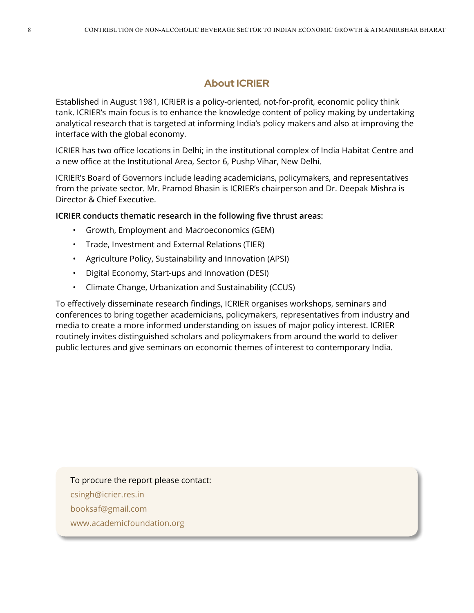# **About ICRIER**

Established in August 1981, ICRIER is a policy-oriented, not-for-profit, economic policy think tank. ICRIER's main focus is to enhance the knowledge content of policy making by undertaking analytical research that is targeted at informing India's policy makers and also at improving the interface with the global economy.

ICRIER has two office locations in Delhi; in the institutional complex of India Habitat Centre and a new office at the Institutional Area, Sector 6, Pushp Vihar, New Delhi.

ICRIER's Board of Governors include leading academicians, policymakers, and representatives from the private sector. Mr. Pramod Bhasin is ICRIER's chairperson and Dr. Deepak Mishra is Director & Chief Executive.

**ICRIER conducts thematic research in the following five thrust areas:**

- Growth, Employment and Macroeconomics (GEM)
- Trade, Investment and External Relations (TIER)
- Agriculture Policy, Sustainability and Innovation (APSI)
- Digital Economy, Start-ups and Innovation (DESI)
- Climate Change, Urbanization and Sustainability (CCUS)

To effectively disseminate research findings, ICRIER organises workshops, seminars and conferences to bring together academicians, policymakers, representatives from industry and media to create a more informed understanding on issues of major policy interest. ICRIER routinely invites distinguished scholars and policymakers from around the world to deliver public lectures and give seminars on economic themes of interest to contemporary India.

# To procure the report please contact:

- csingh@icrier.res.in
- booksaf@gmail.com
- www.academicfoundation.org